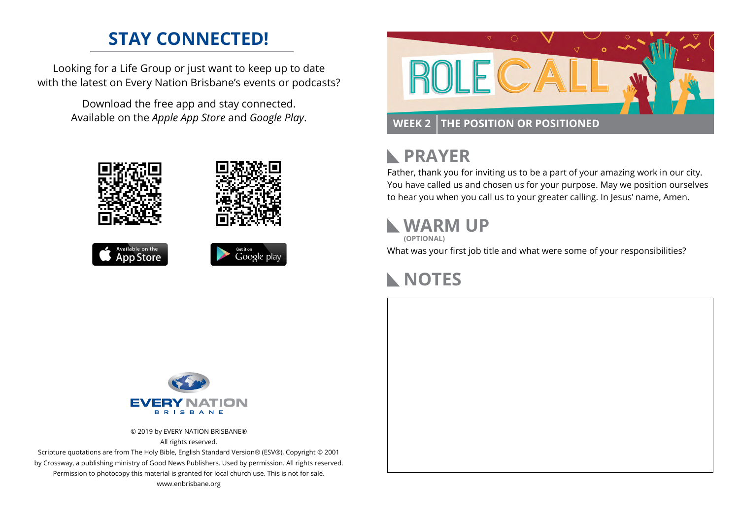## **STAY CONNECTED!**

Looking for a Life Group or just want to keep up to date with the latest on Every Nation Brisbane's events or podcasts?

> Download the free app and stay connected. Available on the *Apple App Store* and *Google Play*.





```
Available on the
App Store
```




#### **PRAYER**  $\blacktriangleright$

Father, thank you for inviting us to be a part of your amazing work in our city. You have called us and chosen us for your purpose. May we position ourselves to hear you when you call us to your greater calling. In Jesus' name, Amen.

# **WARM UP**

**(OPTIONAL)**

What was your first job title and what were some of your responsibilities?

# **NOTES**



© 2019 by EVERY NATION BRISBANE® All rights reserved.

Scripture quotations are from The Holy Bible, English Standard Version® (ESV®), Copyright © 2001 by Crossway, a publishing ministry of Good News Publishers. Used by permission. All rights reserved. Permission to photocopy this material is granted for local church use. This is not for sale. www.enbrisbane.org